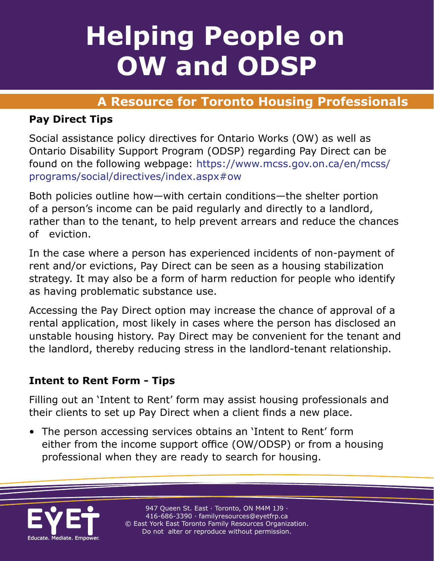#### **Helping People on Helping People on OW and ODSP Helping People on OW and ODSP**

## **A Resource for Toronto Housing Professionals A Resource for Toronto Housing Professionals**

#### **Pay Direct Tips**

Social assistance policy directives for Ontario Works (OW) as well as Ontario Disability Support Program (ODSP) regarding Pay Direct can be found on the following webpage: https://www.mcss.gov.on.ca/en/mcss/ programs/social/directives/index.aspx#ow

Both policies outline how—with certain conditions—the shelter portion of a person's income can be paid regularly and directly to a landlord, rather than to the tenant, to help prevent arrears and reduce the chances of eviction.

In the case where a person has experienced incidents of non-payment of rent and/or evictions, Pay Direct can be seen as a housing stabilization strategy. It may also be a form of harm reduction for people who identify as having problematic substance use.

Accessing the Pay Direct option may increase the chance of approval of a rental application, most likely in cases where the person has disclosed an unstable housing history. Pay Direct may be convenient for the tenant and the landlord, thereby reducing stress in the landlord-tenant relationship.

#### **Intent to Rent Form - Tips**

Filling out an 'Intent to Rent' form may assist housing professionals and their clients to set up Pay Direct when a client finds a new place.

• The person accessing services obtains an 'Intent to Rent' form either from the income support office (OW/ODSP) or from a housing professional when they are ready to search for housing.

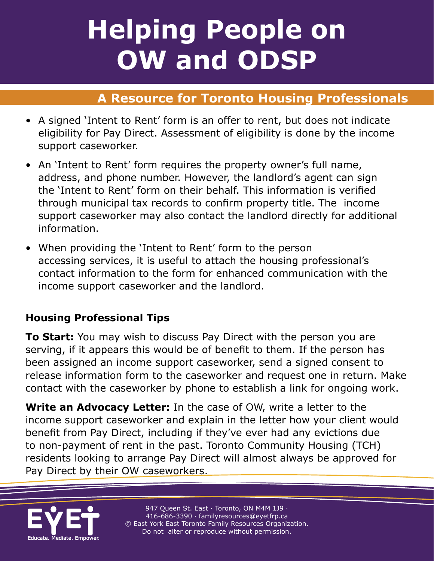# **Helping People on Helping People on OW and ODSP**

### **A Resource for Toronto Housing Professionals**

- A signed 'Intent to Rent' form is an offer to rent, but does not indicate eligibility for Pay Direct. Assessment of eligibility is done by the income support caseworker.
- An 'Intent to Rent' form requires the property owner's full name, address, and phone number. However, the landlord's agent can sign the 'Intent to Rent' form on their behalf. This information is verified through municipal tax records to confirm property title. The income support caseworker may also contact the landlord directly for additional information.
- When providing the 'Intent to Rent' form to the person accessing services, it is useful to attach the housing professional's contact information to the form for enhanced communication with the income support caseworker and the landlord.

#### **Housing Professional Tips**

**To Start:** You may wish to discuss Pay Direct with the person you are serving, if it appears this would be of benefit to them. If the person has been assigned an income support caseworker, send a signed consent to release information form to the caseworker and request one in return. Make contact with the caseworker by phone to establish a link for ongoing work.

**Write an Advocacy Letter:** In the case of OW, write a letter to the income support caseworker and explain in the letter how your client would benefit from Pay Direct, including if they've ever had any evictions due to non-payment of rent in the past. Toronto Community Housing (TCH) residents looking to arrange Pay Direct will almost always be approved for Pay Direct by their OW caseworkers.



947 Queen St. East · Toronto, ON M4M 1J9 · 416-686-3390 · [familyresources@eyetfrp.ca](mailto:familyresources@eyetfrp.ca) © East York East Toronto Family Resources Organization. Do not alter or reproduce without permission.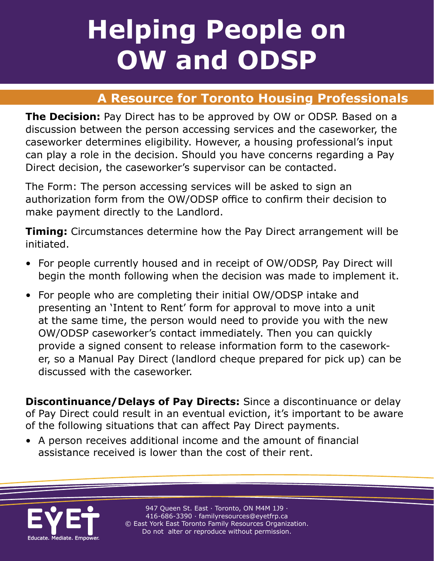# **Helping People on Helping People on OW and ODSP**

### **A Resource for Toronto Housing Professionals**

**The Decision:** Pay Direct has to be approved by OW or ODSP. Based on a discussion between the person accessing services and the caseworker, the caseworker determines eligibility. However, a housing professional's input can play a role in the decision. Should you have concerns regarding a Pay Direct decision, the caseworker's supervisor can be contacted.

The Form: The person accessing services will be asked to sign an authorization form from the OW/ODSP office to confirm their decision to make payment directly to the Landlord.

**Timing:** Circumstances determine how the Pay Direct arrangement will be initiated.

- For people currently housed and in receipt of OW/ODSP, Pay Direct will begin the month following when the decision was made to implement it.
- For people who are completing their initial OW/ODSP intake and presenting an 'Intent to Rent' form for approval to move into a unit at the same time, the person would need to provide you with the new OW/ODSP caseworker's contact immediately. Then you can quickly provide a signed consent to release information form to the caseworker, so a Manual Pay Direct (landlord cheque prepared for pick up) can be discussed with the caseworker.

**Discontinuance/Delays of Pay Directs:** Since a discontinuance or delay of Pay Direct could result in an eventual eviction, it's important to be aware of the following situations that can affect Pay Direct payments.

• A person receives additional income and the amount of financial assistance received is lower than the cost of their rent.



947 Queen St. East · Toronto, ON M4M 1J9 · 416-686-3390 · [familyresources@eyetfrp.ca](mailto:familyresources@eyetfrp.ca) © East York East Toronto Family Resources Organization. Do not alter or reproduce without permission.